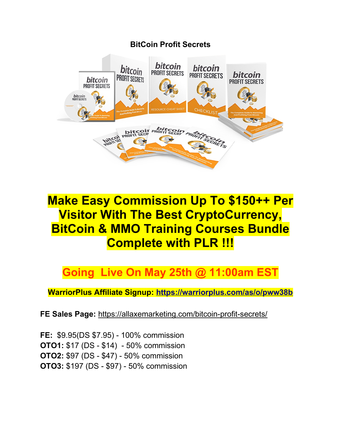

# **Make Easy Commission Up To \$150++ Per Visitor With The Best CryptoCurrency, BitCoin & MMO Training Courses Bundle Complete with PLR !!!**

## **Going Live On May 25th @ 11:00am EST**

**WarriorPlus Affiliate Signup:<https://warriorplus.com/as/o/pww38b>**

**FE Sales Page:** <https://allaxemarketing.com/bitcoin-profit-secrets/>

**FE:** \$9.95(DS \$7.95) - 100% commission **OTO1:** \$17 (DS - \$14) - 50% commission **OTO2:** \$97 (DS - \$47) - 50% commission **OTO3:** \$197 (DS - \$97) - 50% commission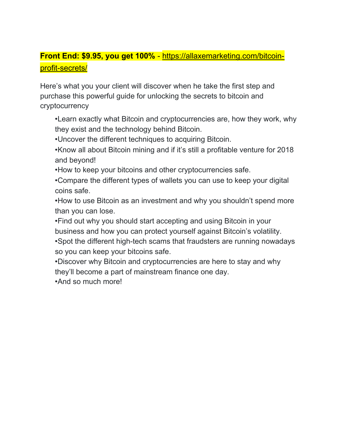#### **Front End: \$9.95, you get 100%** - [https://allaxemarketing.com/bitcoin](https://allaxemarketing.com/bitcoin-profit-secrets/)[profit-secrets/](https://allaxemarketing.com/bitcoin-profit-secrets/)

Here's what you your client will discover when he take the first step and purchase this powerful guide for unlocking the secrets to bitcoin and cryptocurrency

•Learn exactly what Bitcoin and cryptocurrencies are, how they work, why they exist and the technology behind Bitcoin.

•Uncover the different techniques to acquiring Bitcoin.

•Know all about Bitcoin mining and if it's still a profitable venture for 2018 and beyond!

•How to keep your bitcoins and other cryptocurrencies safe.

•Compare the different types of wallets you can use to keep your digital coins safe.

•How to use Bitcoin as an investment and why you shouldn't spend more than you can lose.

•Find out why you should start accepting and using Bitcoin in your business and how you can protect yourself against Bitcoin's volatility.

•Spot the different high-tech scams that fraudsters are running nowadays so you can keep your bitcoins safe.

•Discover why Bitcoin and cryptocurrencies are here to stay and why they'll become a part of mainstream finance one day.

•And so much more!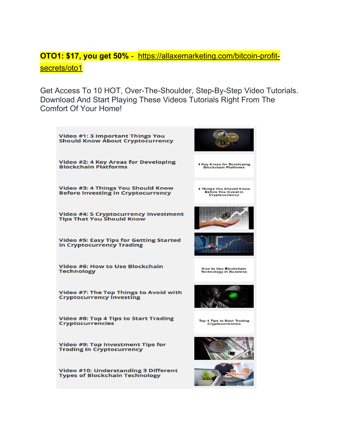#### **OTO1: \$17, you get 50%** - [https://allaxemarketing.com/bitcoin-profit](https://allaxemarketing.com/bitcoin-profit-secrets/oto1)[secrets/oto1](https://allaxemarketing.com/bitcoin-profit-secrets/oto1)

Get Access To 10 HOT, Over-The-Shoulder, Step-By-Step Video Tutorials. Download And Start Playing These Videos Tutorials Right From The Comfort Of Your Home!

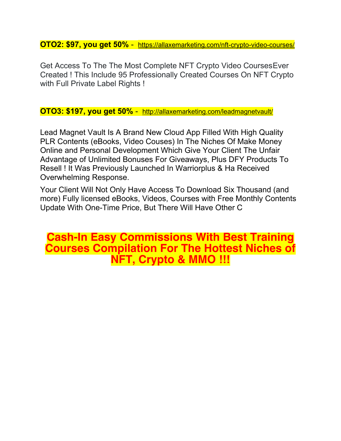**OTO2: \$97, you get 50%** - <https://allaxemarketing.com/nft-crypto-video-courses/>

Get Access To The The Most Complete NFT Crypto Video CoursesEver Created ! This Include 95 Professionally Created Courses On NFT Crypto with Full Private Label Rights !

**OTO3: \$197, you get 50%** - <http://allaxemarketing.com/leadmagnetvault/>

Lead Magnet Vault Is A Brand New Cloud App Filled With High Quality PLR Contents (eBooks, Video Couses) In The Niches Of Make Money Online and Personal Development Which Give Your Client The Unfair Advantage of Unlimited Bonuses For Giveaways, Plus DFY Products To Resell ! It Was Previously Launched In Warriorplus & Ha Received Overwhelming Response.

Your Client Will Not Only Have Access To Download Six Thousand (and more) Fully licensed eBooks, Videos, Courses with Free Monthly Contents Update With One-Time Price, But There Will Have Other C

### **Cash-In Easy Commissions With Best Training Courses Compilation For The Hottest Niches of NFT, Crypto & MMO !!!**